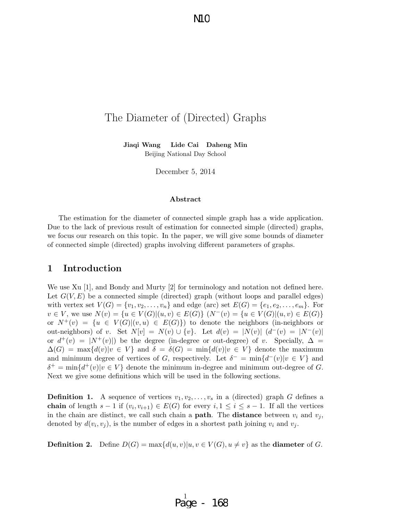$\rm MC$ 

## The Diameter of (Directed) Graphs

Jiaqi Wang Lide Cai Daheng Min Beijing National Day School

December 5, 2014

#### Abstract

The estimation for the diameter of connected simple graph has a wide application. Due to the lack of previous result of estimation for connected simple (directed) graphs, we focus our research on this topic. In the paper, we will give some bounds of diameter of connected simple (directed) graphs involving different parameters of graphs.

### 1 Introduction

We use Xu [1], and Bondy and Murty [2] for terminology and notation not defined here. Let  $G(V, E)$  be a connected simple (directed) graph (without loops and parallel edges) with vertex set  $V(G) = \{v_1, v_2, \ldots, v_n\}$  and edge (arc) set  $E(G) = \{e_1, e_2, \ldots, e_m\}$ . For  $v \in V$ , we use  $N(v) = \{u \in V(G) | (u, v) \in E(G) \}$   $(N^-(v) = \{u \in V(G) | (u, v) \in E(G) \}$ or  $N^+(v) = \{u \in V(G)|(v, u) \in E(G)\}\)$  to denote the neighbors (in-neighbors or out-neighbors) of v. Set  $N[v] = N(v) \cup \{v\}$ . Let  $d(v) = |N(v)| (d^-(v)) = |N^-(v)|$ or  $d^+(v) = |N^+(v)|$  be the degree (in-degree or out-degree) of v. Specially,  $\Delta =$  $\Delta(G) = \max\{d(v)|v \in V\}$  and  $\delta = \delta(G) = \min\{d(v)|v \in V\}$  denote the maximum and minimum degree of vertices of G, respectively. Let  $\delta^- = \min\{d^-(v) | v \in V\}$  and  $\delta^+$  = min $\{d^+(v)|v \in V\}$  denote the minimum in-degree and minimum out-degree of G. Next we give some definitions which will be used in the following sections.

**Definition 1.** A sequence of vertices  $v_1, v_2, \ldots, v_s$  in a (directed) graph G defines a **chain** of length  $s-1$  if  $(v_i, v_{i+1}) \in E(G)$  for every  $i, 1 \le i \le s-1$ . If all the vertices in the chain are distinct, we call such chain a **path**. The **distance** between  $v_i$  and  $v_j$ , denoted by  $d(v_i, v_j)$ , is the number of edges in a shortest path joining  $v_i$  and  $v_j$ .

**Definition 2.** Define  $D(G) = \max\{d(u, v)|u, v \in V(G), u \neq v\}$  as the **diameter** of G.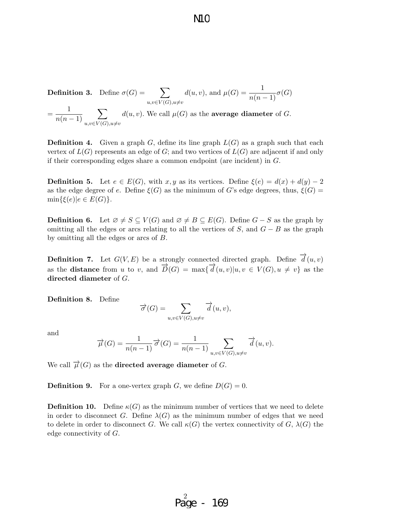**Definition 3.** Define  $\sigma(G) = \sum$  $u,v\in V(G),u\neq v$  $d(u, v)$ , and  $\mu(G) = \frac{1}{n(n-1)}\sigma(G)$  $=\frac{1}{\sqrt{2}}$  $n(n-1)$  $\sum$  $u, v \in V(G), u \neq v$  $d(u, v)$ . We call  $\mu(G)$  as the **average diameter** of G.

**Definition 4.** Given a graph  $G$ , define its line graph  $L(G)$  as a graph such that each vertex of  $L(G)$  represents an edge of G; and two vertices of  $L(G)$  are adjacent if and only if their corresponding edges share a common endpoint (are incident) in  $G$ .

**Definition 5.** Let  $e \in E(G)$ , with x, y as its vertices. Define  $\xi(e) = d(x) + d(y) - 2$ as the edge degree of e. Define  $\xi(G)$  as the minimum of G's edge degrees, thus,  $\xi(G)$  =  $\min\{\xi(e)|e\in E(G)\}.$ 

**Definition 6.** Let  $\emptyset \neq S \subseteq V(G)$  and  $\emptyset \neq B \subseteq E(G)$ . Define  $G - S$  as the graph by omitting all the edges or arcs relating to all the vertices of  $S$ , and  $G - B$  as the graph by omitting all the edges or arcs of B.

**Definition 7.** Let  $G(V, E)$  be a strongly connected directed graph. Define  $\overrightarrow{d}(u, v)$ **Definition**  $\cdots$  has  $\sigma(\cdot, E)$  be a satisfy connected an ecoded graph. Before  $\alpha(a, c)$  as the distance from u to v, and  $\overrightarrow{D}(G) = \max{\overrightarrow{d}(u, v)|u, v \in V(G), u \neq v}$  as the directed diameter of  $G$ .

Definition 8. Define

$$
\overrightarrow{\sigma}(G) = \sum_{u,v \in V(G), u \neq v} \overrightarrow{d}(u,v),
$$

and

$$
\overrightarrow{\mu}(G) = \frac{1}{n(n-1)} \overrightarrow{\sigma}(G) = \frac{1}{n(n-1)} \sum_{u,v \in V(G), u \neq v} \overrightarrow{d}(u,v).
$$

We call  $\overrightarrow{\mu}(G)$  as the **directed average diameter** of G.

**Definition 9.** For a one-vertex graph G, we define  $D(G) = 0$ .

**Definition 10.** Define  $\kappa(G)$  as the minimum number of vertices that we need to delete in order to disconnect G. Define  $\lambda(G)$  as the minimum number of edges that we need to delete in order to disconnect G. We call  $\kappa(G)$  the vertex connectivity of G,  $\lambda(G)$  the edge connectivity of G.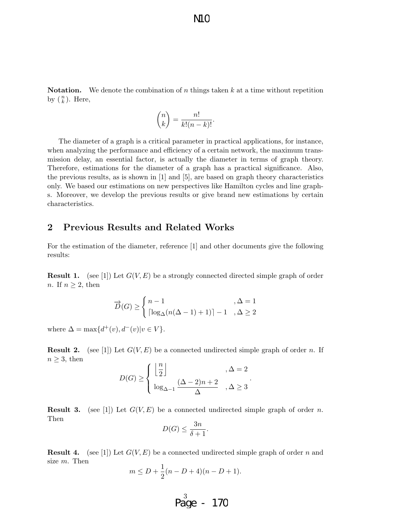N<sub>1</sub>C

**Notation.** We denote the combination of n things taken  $k$  at a time without repetition by  $\binom{n}{k}$ . Here,

$$
\binom{n}{k} = \frac{n!}{k!(n-k)!}.
$$

The diameter of a graph is a critical parameter in practical applications, for instance, when analyzing the performance and efficiency of a certain network, the maximum transmission delay, an essential factor, is actually the diameter in terms of graph theory. Therefore, estimations for the diameter of a graph has a practical significance. Also, the previous results, as is shown in [1] and [5], are based on graph theory characteristics only. We based our estimations on new perspectives like Hamilton cycles and line graphs. Moreover, we develop the previous results or give brand new estimations by certain characteristics.

## 2 Previous Results and Related Works

For the estimation of the diameter, reference [1] and other documents give the following results:

**Result 1.** (see [1]) Let  $G(V, E)$  be a strongly connected directed simple graph of order *n*. If  $n \geq 2$ , then

$$
\overrightarrow{D}(G) \ge \begin{cases} n-1, & \Delta = 1\\ \left\lceil \log_{\Delta}(n(\Delta - 1) + 1) \right\rceil - 1, & \Delta \ge 2 \end{cases}
$$

where  $\Delta = \max\{d^+(v), d^-(v)|v \in V\}.$ 

**Result 2.** (see [1]) Let  $G(V, E)$  be a connected undirected simple graph of order n. If  $n \geq 3$ , then

$$
D(G) \ge \begin{cases} \left\lfloor \frac{n}{2} \right\rfloor & , \Delta = 2 \\ \log_{\Delta - 1} \frac{(\Delta - 2)n + 2}{\Delta} & , \Delta \ge 3 \end{cases}.
$$

**Result 3.** (see [1]) Let  $G(V, E)$  be a connected undirected simple graph of order n. Then

$$
D(G) \le \frac{3n}{\delta + 1}.
$$

**Result 4.** (see [1]) Let  $G(V, E)$  be a connected undirected simple graph of order n and size m. Then

$$
m \le D + \frac{1}{2}(n - D + 4)(n - D + 1).
$$

$$
\overset{3}{\text{Page}} - 170
$$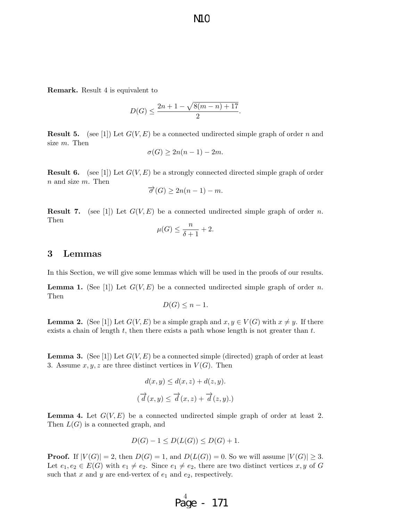Remark. Result 4 is equivalent to

$$
D(G) \le \frac{2n + 1 - \sqrt{8(m - n) + 17}}{2}.
$$

**Result 5.** (see [1]) Let  $G(V, E)$  be a connected undirected simple graph of order n and size m. Then

$$
\sigma(G) \ge 2n(n-1) - 2m.
$$

**Result 6.** (see [1]) Let  $G(V, E)$  be a strongly connected directed simple graph of order  $n$  and size  $m$ . Then

$$
\overrightarrow{\sigma}(G) \ge 2n(n-1) - m.
$$

**Result 7.** (see [1]) Let  $G(V, E)$  be a connected undirected simple graph of order n. Then

$$
\mu(G) \le \frac{n}{\delta + 1} + 2.
$$

## 3 Lemmas

In this Section, we will give some lemmas which will be used in the proofs of our results.

**Lemma 1.** (See [1]) Let  $G(V, E)$  be a connected undirected simple graph of order n. Then

$$
D(G) \leq n - 1.
$$

**Lemma 2.** (See [1]) Let  $G(V, E)$  be a simple graph and  $x, y \in V(G)$  with  $x \neq y$ . If there exists a chain of length  $t$ , then there exists a path whose length is not greater than  $t$ .

**Lemma 3.** (See [1]) Let  $G(V, E)$  be a connected simple (directed) graph of order at least 3. Assume  $x, y, z$  are three distinct vertices in  $V(G)$ . Then

$$
d(x, y) \le d(x, z) + d(z, y).
$$
  

$$
(\overrightarrow{d}(x, y) \le \overrightarrow{d}(x, z) + \overrightarrow{d}(z, y)).
$$

**Lemma 4.** Let  $G(V, E)$  be a connected undirected simple graph of order at least 2. Then  $L(G)$  is a connected graph, and

$$
D(G) - 1 \le D(L(G)) \le D(G) + 1.
$$

**Proof.** If  $|V(G)| = 2$ , then  $D(G) = 1$ , and  $D(L(G)) = 0$ . So we will assume  $|V(G)| \geq 3$ . Let  $e_1, e_2 \in E(G)$  with  $e_1 \neq e_2$ . Since  $e_1 \neq e_2$ , there are two distinct vertices x, y of G such that x and y are end-vertex of  $e_1$  and  $e_2$ , respectively.

$$
Page - 171
$$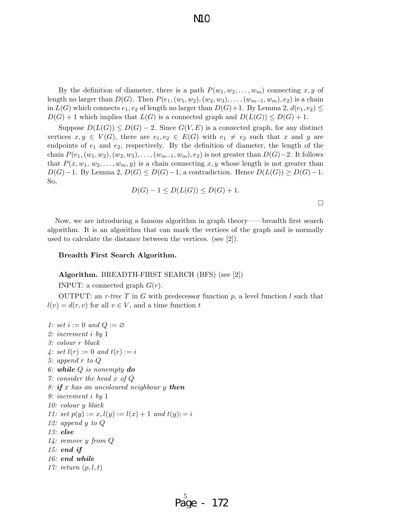By the definition of diameter, there is a path  $P(w_1, w_2, \ldots, w_m)$  connecting x, y of length no larger than  $D(G)$ . Then  $P(e_1,(w_1,w_2),(w_2,w_3),\ldots,(w_{m-1},w_m),e_2)$  is a chain in  $L(G)$  which connects  $e_1, e_2$  of length no larger than  $D(G)+1$ . By Lemma 2,  $d(e_1, e_2) \le$  $D(G) + 1$  which implies that  $L(G)$  is a connected graph and  $D(L(G)) \leq D(G) + 1$ .

Suppose  $D(L(G)) \leq D(G) - 2$ . Since  $G(V, E)$  is a connected graph, for any distinct vertices  $x, y \in V(G)$ , there are  $e_1, e_2 \in E(G)$  with  $e_1 \neq e_2$  such that x and y are endpoints of  $e_1$  and  $e_2$ , respectively. By the definition of diameter, the length of the chain  $P(e_1,(w_1,w_2),(w_2,w_3),\ldots,(w_{m-1},w_m),e_2)$  is not greater than  $D(G)-2$ . It follows that  $P(x, w_1, w_2, \ldots, w_m, y)$  is a chain connecting x, y whose length is not greater than  $D(G)-1$ . By Lemma 2,  $D(G) \leq D(G)-1$ , a contradiction. Hence  $D(L(G)) \geq D(G)-1$ . So,

$$
D(G) - 1 \le D(L(G)) \le D(G) + 1.
$$

 $\Box$ 

Now, we are introducing a famous algorithm in graph theory——breadth first search algorithm. It is an algorithm that can mark the vertices of the graph and is normally used to calculate the distance between the vertices. (see [2]).

#### Breadth First Search Algorithm.

#### Algorithm. BREADTH-FIRST SEARCH (BFS) (see [2])

INPUT: a connected graph  $G(r)$ .

OUTPUT: an r-tree T in G with predecessor function p, a level function l such that  $l(v) = d(r, v)$  for all  $v \in V$ , and a time function t

1: set  $i := 0$  and  $Q := \varnothing$ 2: increment i by 1 3: colour r black 4: set  $l(r) := 0$  and  $t(r) := i$ 5: append r to Q 6: while  $Q$  is nonempty do 7: consider the head x of Q 8: if x has an uncoloured neighbour y then 9: increment i by 1 10: colour y black 11: set  $p(y) := x, l(y) := l(x) + 1$  and  $t(y) := i$ 12: append y to Q 13: else 14: remove y from Q 15: end if 16: end while 17: return  $(p, l, t)$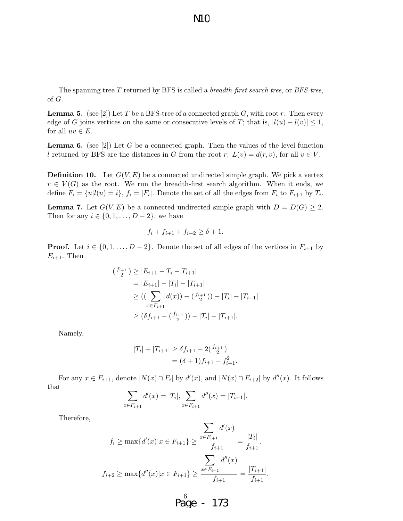The spanning tree  $T$  returned by BFS is called a *breadth-first search tree*, or *BFS-tree*, of G.

**Lemma 5.** (see [2]) Let T be a BFS-tree of a connected graph G, with root r. Then every edge of G joins vertices on the same or consecutive levels of T; that is,  $|l(u) - l(v)| \leq 1$ , for all  $uv \in E$ .

**Lemma 6.** (see [2]) Let G be a connected graph. Then the values of the level function l returned by BFS are the distances in G from the root r:  $L(v) = d(r, v)$ , for all  $v \in V$ .

**Definition 10.** Let  $G(V, E)$  be a connected undirected simple graph. We pick a vertex  $r \in V(G)$  as the root. We run the breadth-first search algorithm. When it ends, we define  $F_i = \{u | l(u) = i\}, f_i = |F_i|$ . Denote the set of all the edges from  $F_i$  to  $F_{i+1}$  by  $T_i$ .

**Lemma 7.** Let  $G(V, E)$  be a connected undirected simple graph with  $D = D(G) \geq 2$ . Then for any  $i \in \{0, 1, \ldots, D-2\}$ , we have

$$
f_i + f_{i+1} + f_{i+2} \ge \delta + 1.
$$

**Proof.** Let  $i \in \{0, 1, ..., D-2\}$ . Denote the set of all edges of the vertices in  $F_{i+1}$  by  $E_{i+1}$ . Then

$$
(f_{\frac{i+1}{2}}) \ge |E_{i+1} - T_i - T_{i+1}|
$$
  
= |E\_{i+1}| - |T\_i| - |T\_{i+1}|  

$$
\ge ((\sum_{x \in F_{i+1}} d(x)) - (f_{\frac{i+1}{2}})) - |T_i| - |T_{i+1}|
$$
  

$$
\ge (\delta f_{i+1} - (f_{\frac{i+1}{2}})) - |T_i| - |T_{i+1}|.
$$

Namely,

$$
|T_i| + |T_{i+1}| \ge \delta f_{i+1} - 2\binom{f_{i+1}}{2}
$$
  
=  $(\delta + 1)f_{i+1} - f_{i+1}^2$ .

For any  $x \in F_{i+1}$ , denote  $|N(x) \cap F_i|$  by  $d'(x)$ , and  $|N(x) \cap F_{i+2}|$  by  $d''(x)$ . It follows that

$$
\sum_{x \in F_{i+1}} d'(x) = |T_i|, \sum_{x \in F_{i+1}} d''(x) = |T_{i+1}|.
$$

Therefore,

$$
f_i \ge \max\{d'(x)|x \in F_{i+1}\} \ge \frac{\sum_{x \in F_{i+1}} d'(x)}{f_{i+1}} = \frac{|T_i|}{f_{i+1}}.
$$

$$
\sum_{f_{i+2} \ge \max\{d''(x)|x \in F_{i+1}\}} \ge \frac{\sum_{x \in F_{i+1}} d''(x)}{f_{i+1}} = \frac{|T_{i+1}|}{f_{i+1}}
$$

6 Page - 173

.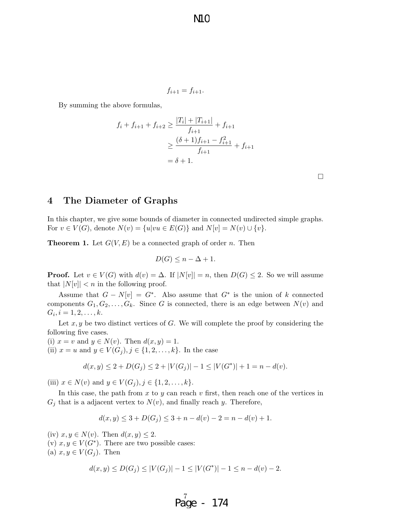N10

$$
f_{i+1} = f_{i+1}.
$$

By summing the above formulas,

$$
f_i + f_{i+1} + f_{i+2} \ge \frac{|T_i| + |T_{i+1}|}{f_{i+1}} + f_{i+1}
$$
  
\n
$$
\ge \frac{(\delta + 1)f_{i+1} - f_{i+1}^2}{f_{i+1}} + f_{i+1}
$$
  
\n
$$
= \delta + 1.
$$

 $\Box$ 

## 4 The Diameter of Graphs

In this chapter, we give some bounds of diameter in connected undirected simple graphs. For  $v \in V(G)$ , denote  $N(v) = \{u| vu \in E(G)\}\$ and  $N[v] = N(v) \cup \{v\}.$ 

**Theorem 1.** Let  $G(V, E)$  be a connected graph of order n. Then

$$
D(G) \le n - \Delta + 1.
$$

**Proof.** Let  $v \in V(G)$  with  $d(v) = \Delta$ . If  $|N[v]| = n$ , then  $D(G) \leq 2$ . So we will assume that  $|N[v]| < n$  in the following proof.

Assume that  $G - N[v] = G^*$ . Also assume that  $G^*$  is the union of k connected components  $G_1, G_2, \ldots, G_k$ . Since G is connected, there is an edge between  $N(v)$  and  $G_i, i = 1, 2, \ldots, k.$ 

Let  $x, y$  be two distinct vertices of G. We will complete the proof by considering the following five cases.

(i)  $x = v$  and  $y \in N(v)$ . Then  $d(x, y) = 1$ . (ii)  $x = u$  and  $y \in V(G_j), j \in \{1, 2, ..., k\}$ . In the case

$$
d(x,y) \le 2 + D(G_j) \le 2 + |V(G_j)| - 1 \le |V(G^*)| + 1 = n - d(v).
$$

(iii)  $x \in N(v)$  and  $y \in V(G_i), j \in \{1, 2, ..., k\}.$ 

In this case, the path from x to y can reach v first, then reach one of the vertices in  $G_j$  that is a adjacent vertex to  $N(v)$ , and finally reach y. Therefore,

$$
d(x, y) \le 3 + D(G_j) \le 3 + n - d(v) - 2 = n - d(v) + 1.
$$

(iv)  $x, y \in N(v)$ . Then  $d(x, y) \leq 2$ . (v)  $x, y \in V(G^*)$ . There are two possible cases: (a)  $x, y \in V(G_i)$ . Then

$$
d(x, y) \le D(G_j) \le |V(G_j)| - 1 \le |V(G^*)| - 1 \le n - d(v) - 2.
$$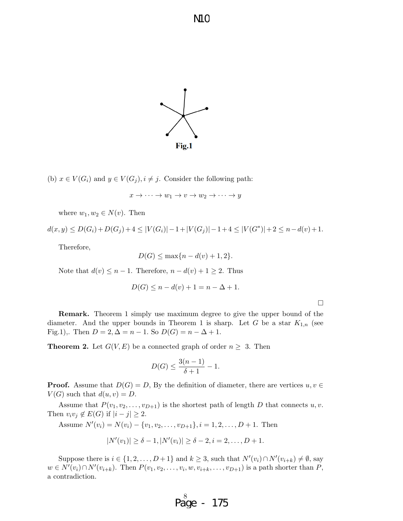

(b)  $x \in V(G_i)$  and  $y \in V(G_j)$ ,  $i \neq j$ . Consider the following path:

$$
x \to \cdots \to w_1 \to v \to w_2 \to \cdots \to y
$$

where  $w_1, w_2 \in N(v)$ . Then

 $d(x,y) \le D(G_i) + D(G_j) + 4 \le |V(G_i)| - 1 + |V(G_j)| - 1 + 4 \le |V(G^*)| + 2 \le n - d(v) + 1.$ 

Therefore,

$$
D(G) \le \max\{n - d(v) + 1, 2\}.
$$

Note that  $d(v) \leq n-1$ . Therefore,  $n - d(v) + 1 \geq 2$ . Thus

$$
D(G) \le n - d(v) + 1 = n - \Delta + 1.
$$

 $\Box$ 

Remark. Theorem 1 simply use maximum degree to give the upper bound of the diameter. And the upper bounds in Theorem 1 is sharp. Let G be a star  $K_{1,n}$  (see Fig.1),. Then  $D = 2, \Delta = n - 1$ . So  $D(G) = n - \Delta + 1$ .

**Theorem 2.** Let  $G(V, E)$  be a connected graph of order  $n \geq 3$ . Then

$$
D(G) \le \frac{3(n-1)}{\delta + 1} - 1.
$$

**Proof.** Assume that  $D(G) = D$ , By the definition of diameter, there are vertices  $u, v \in$  $V(G)$  such that  $d(u, v) = D$ .

Assume that  $P(v_1, v_2, \ldots, v_{D+1})$  is the shortest path of length D that connects  $u, v$ . Then  $v_i v_j \notin E(G)$  if  $|i - j| \geq 2$ .

Assume  $N'(v_i) = N(v_i) - \{v_1, v_2, \ldots, v_{D+1}\}, i = 1, 2, \ldots, D+1$ . Then

$$
|N'(v_1)| \geq \delta - 1, |N'(v_i)| \geq \delta - 2, i = 2, \dots, D + 1.
$$

Suppose there is  $i \in \{1, 2, ..., D+1\}$  and  $k \geq 3$ , such that  $N'(v_i) \cap N'(v_{i+k}) \neq \emptyset$ , say  $w \in N'(v_i) \cap N'(v_{i+k})$ . Then  $P(v_1, v_2, \ldots, v_i, w, v_{i+k}, \ldots, v_{D+1})$  is a path shorter than  $P$ , a contradiction.

$$
P_{\text{age}}^8 - 175
$$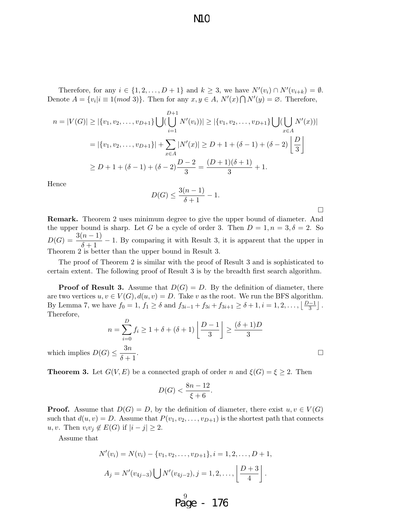Therefore, for any  $i \in \{1, 2, ..., D+1\}$  and  $k \geq 3$ , we have  $N'(v_i) \cap N'(v_{i+k}) = \emptyset$ . Denote  $A = \{v_i | i \equiv 1 \pmod{3}\}$ . Then for any  $x, y \in A$ ,  $N'(x) \bigcap N'(y) = \emptyset$ . Therefore,

$$
n = |V(G)| \ge |\{v_1, v_2, \dots, v_{D+1}\}| \bigcup \left(\bigcup_{i=1}^{D+1} N'(v_i)\right) | \ge |\{v_1, v_2, \dots, v_{D+1}\}| \bigcup \left(\bigcup_{x \in A} N'(x)\right) |
$$
  
=  $|\{v_1, v_2, \dots, v_{D+1}\}| + \sum_{x \in A} |N'(x)| \ge D + 1 + (\delta - 1) + (\delta - 2) \left\lfloor \frac{D}{3} \right\rfloor$   
 $\ge D + 1 + (\delta - 1) + (\delta - 2) \frac{D - 2}{3} = \frac{(D + 1)(\delta + 1)}{3} + 1.$ 

Hence

$$
D(G) \le \frac{3(n-1)}{\delta + 1} - 1.
$$

Remark. Theorem 2 uses minimum degree to give the upper bound of diameter. And the upper bound is sharp. Let G be a cycle of order 3. Then  $D = 1, n = 3, \delta = 2$ . So  $D(G) = \frac{3(n-1)}{\delta+1} - 1$ . By comparing it with Result 3, it is apparent that the upper in Theorem 2 is better than the upper bound in Result 3.

The proof of Theorem 2 is similar with the proof of Result 3 and is sophisticated to certain extent. The following proof of Result 3 is by the breadth first search algorithm.

**Proof of Result 3.** Assume that  $D(G) = D$ . By the definition of diameter, there are two vertices  $u, v \in V(G)$ ,  $d(u, v) = D$ . Take v as the root. We run the BFS algorithm. By Lemma 7, we have  $f_0 = 1$ ,  $f_1 \ge \delta$  and  $f_{3i-1} + f_{3i} + f_{3i+1} \ge \delta + 1$ ,  $i = 1, 2, ..., \lfloor \frac{D-1}{3} \rfloor$ . Therefore,

$$
n = \sum_{i=0}^{D} f_i \ge 1 + \delta + (\delta + 1) \left\lfloor \frac{D - 1}{3} \right\rfloor \ge \frac{(\delta + 1)D}{3}
$$
  

$$
F) \le \frac{3n}{5n+1}.
$$

which implies  $\mathcal{D}(G)$  $\delta + 1$ 

**Theorem 3.** Let  $G(V, E)$  be a connected graph of order n and  $\xi(G) = \xi \geq 2$ . Then

$$
D(G) < \frac{8n - 12}{\xi + 6}.
$$

**Proof.** Assume that  $D(G) = D$ , by the definition of diameter, there exist  $u, v \in V(G)$ such that  $d(u, v) = D$ . Assume that  $P(v_1, v_2, \ldots, v_{D+1})$  is the shortest path that connects u, v. Then  $v_i v_j \notin E(G)$  if  $|i - j| \geq 2$ .

Assume that

$$
N'(v_i) = N(v_i) - \{v_1, v_2, \dots, v_{D+1}\}, i = 1, 2, \dots, D+1,
$$
  

$$
A_j = N'(v_{4j-3}) \bigcup N'(v_{4j-2}), j = 1, 2, \dots, \left\lfloor \frac{D+3}{4} \right\rfloor.
$$

 $\Delta$ 

$$
\mathbf{Page} - 176
$$

 $\Box$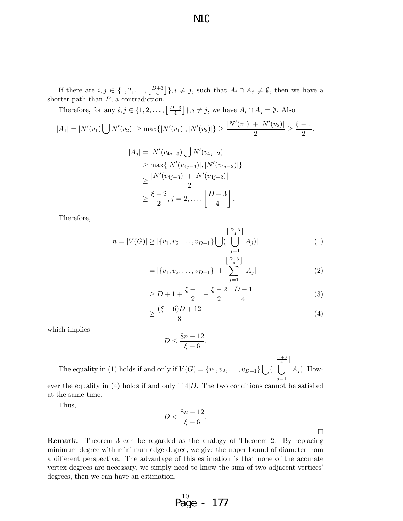If there are  $i, j \in \{1, 2, \ldots, \lfloor \frac{D+3}{4} \rfloor\}, i \neq j$ , such that  $A_i \cap A_j \neq \emptyset$ , then we have a shorter path than  $P$ , a contradiction.

Therefore, for any  $i, j \in \{1, 2, ..., \lfloor \frac{D+3}{4} \rfloor\}, i \neq j$ , we have  $A_i \cap A_j = \emptyset$ . Also

$$
|A_1| = |N'(v_1) \bigcup N'(v_2)| \ge \max\{|N'(v_1)|, |N'(v_2)|\} \ge \frac{|N'(v_1)| + |N'(v_2)|}{2} \ge \frac{\xi - 1}{2}.
$$

$$
|A_j| = |N'(v_{4j-3}) \bigcup N'(v_{4j-2})|
$$
  
\n
$$
\geq \max\{|N'(v_{4j-3})|, |N'(v_{4j-2})|\}
$$
  
\n
$$
\geq \frac{|N'(v_{4j-3})| + |N'(v_{4j-2})|}{2}
$$
  
\n
$$
\geq \frac{\xi - 2}{2}, j = 2, ..., \left\lfloor \frac{D + 3}{4} \right\rfloor.
$$

Therefore,

$$
n = |V(G)| \ge |\{v_1, v_2, \dots, v_{D+1}\} \bigcup \left(\bigcup_{j=1}^{\lfloor \frac{D+3}{4} \rfloor} A_j\right)|
$$
 (1)

$$
= |\{v_1, v_2, \dots, v_{D+1}\}| + \sum_{j=1}^{\left\lfloor \frac{D+3}{4} \right\rfloor} |A_j|
$$
 (2)

$$
\ge D + 1 + \frac{\xi - 1}{2} + \frac{\xi - 2}{2} \left[ \frac{D - 1}{4} \right]
$$
 (3)

$$
\geq \frac{(\xi + 6)D + 12}{8} \tag{4}
$$

which implies

$$
D \le \frac{8n - 12}{\xi + 6}.
$$

The equality in (1) holds if and only if  $V(G) = \{v_1, v_2, \ldots, v_{D+1}\}$  |  $\bigcup$  $\left\lfloor \frac{D+3}{4} \right\rfloor$  $j=1$  $A_j$ ). However the equality in (4) holds if and only if  $4|D$ . The two conditions cannot be satisfied at the same time.

Thus,

$$
D < \frac{8n-12}{\xi+6}.
$$

 $\Box$ 

Remark. Theorem 3 can be regarded as the analogy of Theorem 2. By replacing minimum degree with minimum edge degree, we give the upper bound of diameter from a different perspective. The advantage of this estimation is that none of the accurate vertex degrees are necessary, we simply need to know the sum of two adjacent vertices' degrees, then we can have an estimation.

$$
\begin{array}{cc} 10 & -177 \\ \text{Page} & -177 \end{array}
$$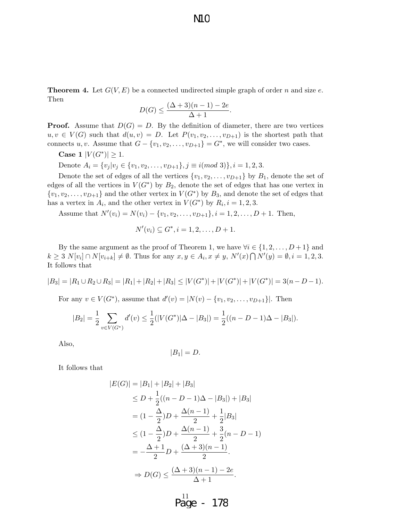**Theorem 4.** Let  $G(V, E)$  be a connected undirected simple graph of order n and size e. Then

$$
D(G) \le \frac{(\Delta + 3)(n - 1) - 2e}{\Delta + 1}.
$$

**Proof.** Assume that  $D(G) = D$ . By the definition of diameter, there are two vertices  $u, v \in V(G)$  such that  $d(u, v) = D$ . Let  $P(v_1, v_2, \ldots, v_{D+1})$  is the shortest path that connects u, v. Assume that  $G - \{v_1, v_2, \ldots, v_{D+1}\} = G^*$ , we will consider two cases.

Case 1  $|V(G^*)| \geq 1$ .

Denote  $A_i = \{v_j | v_j \in \{v_1, v_2, \ldots, v_{D+1}\}, j \equiv i \pmod{3}\}, i = 1, 2, 3.$ 

Denote the set of edges of all the vertices  $\{v_1, v_2, \ldots, v_{D+1}\}$  by  $B_1$ , denote the set of edges of all the vertices in  $V(G^*)$  by  $B_2$ , denote the set of edges that has one vertex in  $\{v_1, v_2, \ldots, v_{D+1}\}\$ and the other vertex in  $V(G^*)$  by  $B_3$ , and denote the set of edges that has a vertex in  $A_i$ , and the other vertex in  $V(G^*)$  by  $R_i$ ,  $i = 1, 2, 3$ .

Assume that  $N'(v_i) = N(v_i) - \{v_1, v_2, \ldots, v_{D+1}\}, i = 1, 2, \ldots, D+1$ . Then,

$$
N'(v_i) \subseteq G^*, i = 1, 2, \dots, D + 1.
$$

By the same argument as the proof of Theorem 1, we have  $\forall i \in \{1, 2, ..., D+1\}$  and  $k \geq 3 \ N[v_i] \cap N[v_{i+k}] \neq \emptyset$ . Thus for any  $x, y \in A_i, x \neq y, N'(x) \cap N'(y) = \emptyset, i = 1, 2, 3$ . It follows that

$$
|B_3| = |R_1 \cup R_2 \cup R_3| = |R_1| + |R_2| + |R_3| \le |V(G^*)| + |V(G^*)| + |V(G^*)| = 3(n - D - 1).
$$

For any  $v \in V(G^*)$ , assume that  $d'(v) = |N(v) - \{v_1, v_2, \dots, v_{D+1}\}|$ . Then

$$
|B_2| = \frac{1}{2} \sum_{v \in V(G^*)} d'(v) \le \frac{1}{2}(|V(G^*)|\Delta - |B_3|) = \frac{1}{2}((n - D - 1)\Delta - |B_3|).
$$

Also,

$$
|B_1|=D.
$$

It follows that

$$
|E(G)| = |B_1| + |B_2| + |B_3|
$$
  
\n
$$
\leq D + \frac{1}{2}((n - D - 1)\Delta - |B_3|) + |B_3|
$$
  
\n
$$
= (1 - \frac{\Delta}{2})D + \frac{\Delta(n - 1)}{2} + \frac{1}{2}|B_3|
$$
  
\n
$$
\leq (1 - \frac{\Delta}{2})D + \frac{\Delta(n - 1)}{2} + \frac{3}{2}(n - D - 1)
$$
  
\n
$$
= -\frac{\Delta + 1}{2}D + \frac{(\Delta + 3)(n - 1)}{2}.
$$
  
\n
$$
\Rightarrow D(G) \leq \frac{(\Delta + 3)(n - 1) - 2e}{\Delta + 1}.
$$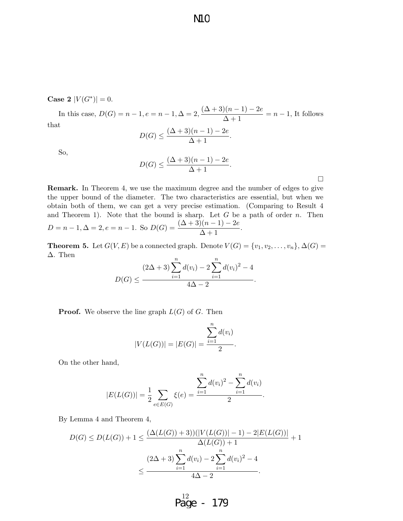**Case 2**  $|V(G^*)| = 0$ .

In this case,  $D(G) = n - 1, e = n - 1, \Delta = 2, \frac{(\Delta + 3)(n - 1) - 2e}{\Delta + 1} = n - 1$ , It follows that

**N1C** 

$$
D(G) \le \frac{(\Delta + 3)(n - 1) - 2e}{\Delta + 1}.
$$

So,

$$
D(G) \le \frac{(\Delta+3)(n-1)-2e}{\Delta+1}.
$$

 $\Box$ 

Remark. In Theorem 4, we use the maximum degree and the number of edges to give the upper bound of the diameter. The two characteristics are essential, but when we obtain both of them, we can get a very precise estimation. (Comparing to Result 4 and Theorem 1). Note that the bound is sharp. Let  $G$  be a path of order  $n$ . Then  $D = n - 1, \Delta = 2, e = n - 1.$  So  $D(G) = \frac{(\Delta + 3)(n - 1) - 2e}{\Delta + 1}.$ 

**Theorem 5.** Let  $G(V, E)$  be a connected graph. Denote  $V(G) = \{v_1, v_2, \ldots, v_n\}, \Delta(G) =$ ∆. Then  $\overline{n}$ 

$$
D(G) \le \frac{(2\Delta + 3)\sum_{i=1}^{n} d(v_i) - 2\sum_{i=1}^{n} d(v_i)^2 - 4}{4\Delta - 2}.
$$

**Proof.** We observe the line graph  $L(G)$  of G. Then

$$
|V(L(G))| = |E(G)| = \frac{\sum_{i=1}^{n} d(v_i)}{2}.
$$

On the other hand,

$$
|E(L(G))| = \frac{1}{2} \sum_{e \in E(G)} \xi(e) = \frac{\sum_{i=1}^{n} d(v_i)^2 - \sum_{i=1}^{n} d(v_i)}{2}.
$$

By Lemma 4 and Theorem 4,

$$
D(G) \le D(L(G)) + 1 \le \frac{(\Delta(L(G)) + 3))(|V(L(G))| - 1) - 2|E(L(G))|}{\Delta(L(G)) + 1} + 1
$$

$$
\le \frac{(2\Delta + 3)\sum_{i=1}^{n} d(v_i) - 2\sum_{i=1}^{n} d(v_i)^2 - 4}{4\Delta - 2}.
$$

12 Page - 179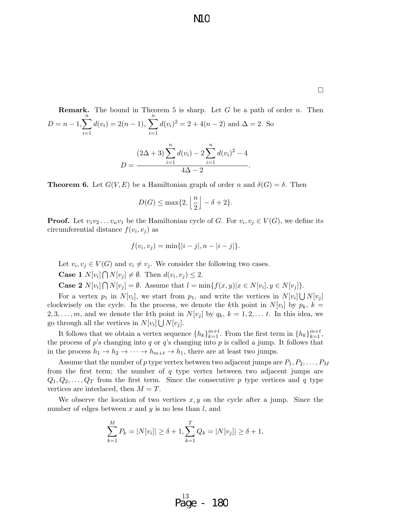**Remark.** The bound in Theorem 5 is sharp. Let *G* be a path of order *n*. Then\n
$$
D = n - 1, \sum_{i=1}^{n} d(v_i) = 2(n - 1), \sum_{i=1}^{n} d(v_i)^2 = 2 + 4(n - 2) \text{ and } \Delta = 2.
$$
\nSo\n
$$
(2\Delta + 3) \sum_{i=1}^{n} d(v_i) - 2 \sum_{i=1}^{n} d(v_i)^2 - 4
$$
\n
$$
D = \frac{2\Delta + 3 \sum_{i=1}^{n} d(v_i)^2 - 4}{4\Delta - 2}.
$$

**Theorem 6.** Let  $G(V, E)$  be a Hamiltonian graph of order n and  $\delta(G) = \delta$ . Then

$$
D(G) \le \max\{2, \left\lfloor \frac{n}{2} \right\rfloor - \delta + 2\}.
$$

**Proof.** Let  $v_1v_2 \ldots v_nv_1$  be the Hamiltonian cycle of G. For  $v_i, v_j \in V(G)$ , we define its circumferential distance  $f(v_i, v_j)$  as

$$
f(v_i, v_j) = \min\{|i - j|, n - |i - j|\}.
$$

Let  $v_i, v_j \in V(G)$  and  $v_i \neq v_j$ . We consider the following two cases.

**Case 1**  $N[v_i] \bigcap N[v_j] \neq \emptyset$ . Then  $d(v_i, v_j) \leq 2$ .

**Case 2**  $N[v_i] \cap N[v_j] = \emptyset$ . Assume that  $l = \min\{f(x, y)|x \in N[v_i], y \in N[v_j]\}.$ 

For a vertex  $p_1$  in  $N[v_i]$ , we start from  $p_1$ , and write the vertices in  $N[v_i] \bigcup N[v_j]$ clockwisely on the cycle. In the process, we denote the kth point in  $N[v_i]$  by  $p_k$ ,  $k =$ 2, 3, ..., m, and we denote the kth point in  $N[v_i]$  by  $q_k$ ,  $k = 1, 2, \ldots t$ . In this idea, we go through all the vertices in  $N[v_i] \bigcup N[v_j]$ .

It follows that we obtain a vertex sequence  $\{h_k\}_{k=1}^{m+t}$ . From the first term in  $\{h_k\}_{k=1}^{m+t}$ , the process of p's changing into q or q's changing into p is called a jump. It follows that in the process  $h_1 \to h_2 \to \cdots \to h_{m+t} \to h_1$ , there are at least two jumps.

Assume that the number of p type vertex between two adjacent jumps are  $P_1, P_2, \ldots, P_M$ from the first term; the number of  $q$  type vertex between two adjacent jumps are  $Q_1, Q_2, \ldots, Q_T$  from the first term. Since the consecutive p type vertices and q type vertices are interlaced, then  $M = T$ .

We observe the location of two vertices  $x, y$  on the cycle after a jump. Since the number of edges between  $x$  and  $y$  is no less than  $l$ , and

$$
\sum_{k=1}^{M} P_k = |N[v_i]| \ge \delta + 1, \sum_{k=1}^{T} Q_k = |N[v_j]| \ge \delta + 1,
$$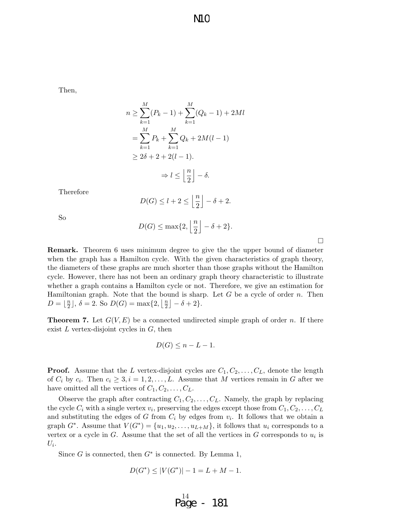Then,

$$
n \geq \sum_{k=1}^{M} (P_k - 1) + \sum_{k=1}^{M} (Q_k - 1) + 2Ml
$$
  
= 
$$
\sum_{k=1}^{M} P_k + \sum_{k=1}^{M} Q_k + 2M(l - 1)
$$
  

$$
\geq 2\delta + 2 + 2(l - 1).
$$
  

$$
\Rightarrow l \leq \left\lfloor \frac{n}{2} \right\rfloor - \delta.
$$

Therefore

$$
D(G) \le l+2 \le \left\lfloor \frac{n}{2} \right\rfloor - \delta + 2.
$$

So

$$
D(G) \le \max\{2, \left\lfloor \frac{n}{2} \right\rfloor - \delta + 2\}.
$$
  
6 uses minimum degree to give the the up

 $\Box$ 

Remark. Theorem 6 uses minimum degree to give the the upper bound of diameter when the graph has a Hamilton cycle. With the given characteristics of graph theory, the diameters of these graphs are much shorter than those graphs without the Hamilton cycle. However, there has not been an ordinary graph theory characteristic to illustrate whether a graph contains a Hamilton cycle or not. Therefore, we give an estimation for Hamiltonian graph. Note that the bound is sharp. Let  $G$  be a cycle of order  $n$ . Then  $D = \frac{n}{2}$  $\frac{n}{2}$ ,  $\delta = 2$ . So  $D(G) = \max\{2, \lfloor \frac{n}{2} \rfloor\}$  $\frac{n}{2}$ ] –  $\delta + 2$  }.

**Theorem 7.** Let  $G(V, E)$  be a connected undirected simple graph of order n. If there exist  $L$  vertex-disjoint cycles in  $G$ , then

$$
D(G) \leq n - L - 1.
$$

**Proof.** Assume that the L vertex-disjoint cycles are  $C_1, C_2, \ldots, C_L$ , denote the length of  $C_i$  by  $c_i$ . Then  $c_i \geq 3, i = 1, 2, \ldots, L$ . Assume that M vertices remain in G after we have omitted all the vertices of  $C_1, C_2, \ldots, C_L$ .

Observe the graph after contracting  $C_1, C_2, \ldots, C_L$ . Namely, the graph by replacing the cycle  $C_i$  with a single vertex  $v_i$ , preserving the edges except those from  $C_1, C_2, \ldots, C_L$ and substituting the edges of G from  $C_i$  by edges from  $v_i$ . It follows that we obtain a graph  $G^*$ . Assume that  $V(G^*) = \{u_1, u_2, \ldots, u_{L+M}\}\$ , it follows that  $u_i$  corresponds to a vertex or a cycle in  $G$ . Assume that the set of all the vertices in  $G$  corresponds to  $u_i$  is  $U_i$ .

Since  $G$  is connected, then  $G^*$  is connected. By Lemma 1,

$$
D(G^*) \le |V(G^*)| - 1 = L + M - 1.
$$

$$
Page - 181
$$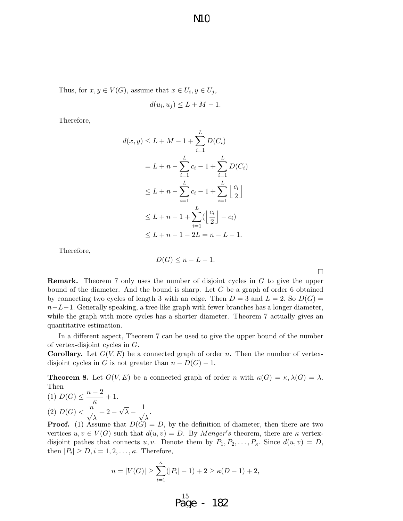Thus, for  $x, y \in V(G)$ , assume that  $x \in U_i, y \in U_j$ ,

$$
d(u_i, u_j) \le L + M - 1.
$$

Therefore,

$$
d(x, y) \le L + M - 1 + \sum_{i=1}^{L} D(C_i)
$$
  
=  $L + n - \sum_{i=1}^{L} c_i - 1 + \sum_{i=1}^{L} D(C_i)$   
 $\le L + n - \sum_{i=1}^{L} c_i - 1 + \sum_{i=1}^{L} \left\lfloor \frac{c_i}{2} \right\rfloor$   
 $\le L + n - 1 + \sum_{i=1}^{L} (\left\lfloor \frac{c_i}{2} \right\rfloor - c_i)$   
 $\le L + n - 1 - 2L = n - L - 1.$ 

Therefore,

$$
D(G) \le n - L - 1.
$$

 $\Box$ 

Remark. Theorem 7 only uses the number of disjoint cycles in G to give the upper bound of the diameter. And the bound is sharp. Let G be a graph of order 6 obtained by connecting two cycles of length 3 with an edge. Then  $D = 3$  and  $L = 2$ . So  $D(G) =$  $n-L-1$ . Generally speaking, a tree-like graph with fewer branches has a longer diameter, while the graph with more cycles has a shorter diameter. Theorem 7 actually gives an quantitative estimation.

In a different aspect, Theorem 7 can be used to give the upper bound of the number of vertex-disjoint cycles in G.

**Corollary.** Let  $G(V, E)$  be a connected graph of order n. Then the number of vertexdisjoint cycles in G is not greater than  $n - D(G) - 1$ .

**Theorem 8.** Let  $G(V, E)$  be a connected graph of order n with  $\kappa(G) = \kappa, \lambda(G) = \lambda$ . Then  $n-2$ 

.

(1) 
$$
D(G) \leq \frac{n-2}{\kappa} + 1.
$$
  
(2) 
$$
D(G) < \frac{n}{\sqrt{\lambda}} + 2 - \sqrt{\lambda} - \frac{1}{\sqrt{\lambda}}
$$

**Proof.** (1) Assume that  $D(G) = D$ , by the definition of diameter, then there are two vertices  $u, v \in V(G)$  such that  $d(u, v) = D$ . By *Menger's* theorem, there are  $\kappa$  vertexdisjoint pathes that connects u, v. Denote them by  $P_1, P_2, \ldots, P_{\kappa}$ . Since  $d(u, v) = D$ , then  $|P_i| \geq D, i = 1, 2, \ldots, \kappa$ . Therefore,

$$
n = |V(G)| \ge \sum_{i=1}^{k} (|P_i| - 1) + 2 \ge \kappa(D - 1) + 2,
$$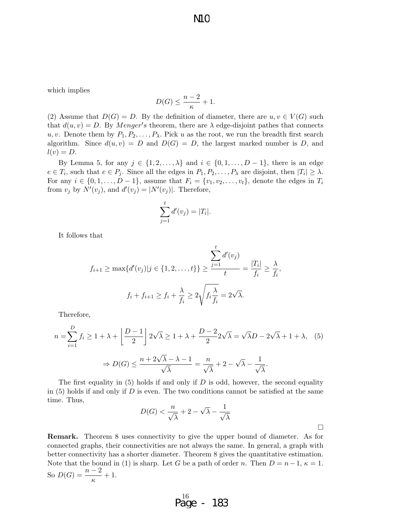which implies

$$
D(G) \le \frac{n-2}{\kappa} + 1.
$$

(2) Assume that  $D(G) = D$ . By the definition of diameter, there are  $u, v \in V(G)$  such that  $d(u, v) = D$ . By *Menger's* theorem, there are  $\lambda$  edge-disjoint pathes that connects u, v. Denote them by  $P_1, P_2, \ldots, P_\lambda$ . Pick u as the root, we run the breadth first search algorithm. Since  $d(u, v) = D$  and  $D(G) = D$ , the largest marked number is D, and  $l(v) = D.$ 

By Lemma 5, for any  $j \in \{1, 2, \ldots, \lambda\}$  and  $i \in \{0, 1, \ldots, D-1\}$ , there is an edge  $e \in T_i$ , such that  $e \in P_j$ . Since all the edges in  $P_1, P_2, \ldots, P_\lambda$  are disjoint, then  $|T_i| \geq \lambda$ . For any  $i \in \{0, 1, \ldots, D-1\}$ , assume that  $F_i = \{v_1, v_2, \ldots, v_t\}$ , denote the edges in  $T_i$ from  $v_j$  by  $N'(v_j)$ , and  $d'(v_j) = |N'(v_j)|$ . Therefore,

$$
\sum_{j=1}^t d'(v_j) = |T_i|.
$$

It follows that

$$
f_{i+1} \ge \max\{d'(v_j)|j \in \{1, 2, \dots, t\}\} \ge \frac{\sum_{j=1}^t d'(v_j)}{t} = \frac{|T_i|}{f_i} \ge \frac{\lambda}{f_i}
$$

$$
f_i + f_{i+1} \ge f_i + \frac{\lambda}{f_i} \ge 2\sqrt{f_i \frac{\lambda}{f_i}} = 2\sqrt{\lambda}.
$$

,

 $\Box$ 

Therefore,

$$
n = \sum_{i=1}^{D} f_i \ge 1 + \lambda + \left\lfloor \frac{D-1}{2} \right\rfloor 2\sqrt{\lambda} \ge 1 + \lambda + \frac{D-2}{2} 2\sqrt{\lambda} = \sqrt{\lambda}D - 2\sqrt{\lambda} + 1 + \lambda, \quad (5)
$$

$$
\Rightarrow D(G) \le \frac{n + 2\sqrt{\lambda} - \lambda - 1}{\sqrt{\lambda}} = \frac{n}{\sqrt{\lambda}} + 2 - \sqrt{\lambda} - \frac{1}{\sqrt{\lambda}}.
$$

The first equality in  $(5)$  holds if and only if D is odd, however, the second equality in  $(5)$  holds if and only if D is even. The two conditions cannot be satisfied at the same time. Thus,

$$
D(G) < \frac{n}{\sqrt{\lambda}} + 2 - \sqrt{\lambda} - \frac{1}{\sqrt{\lambda}}
$$

Remark. Theorem 8 uses connectivity to give the upper bound of diameter. As for connected graphs, their connectivities are not always the same. In general, a graph with better connectivity has a shorter diameter. Theorem 8 gives the quantitative estimation. Note that the bound in (1) is sharp. Let G be a path of order n. Then  $D = n-1$ ,  $\kappa = 1$ . So  $D(G) = \frac{n-2}{\kappa} + 1$ .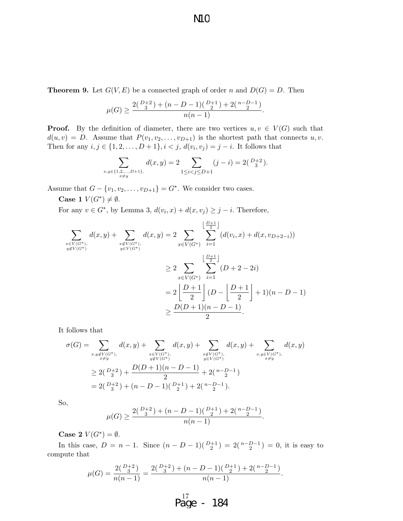N<sub>1</sub>C

**Theorem 9.** Let  $G(V, E)$  be a connected graph of order n and  $D(G) = D$ . Then

$$
\mu(G) \ge \frac{2^{\binom{D+2}{3} + (n - D - 1)\binom{D+1}{2} + 2\binom{n - D - 1}{2}}}{n(n - 1)}.
$$

**Proof.** By the definition of diameter, there are two vertices  $u, v \in V(G)$  such that  $d(u, v) = D$ . Assume that  $P(v_1, v_2, \ldots, v_{D+1})$  is the shortest path that connects  $u, v$ . Then for any  $i, j \in \{1, 2, ..., D + 1\}, i < j, d(v_i, v_j) = j - i$ . It follows that

$$
\sum_{\substack{x,y \in \{1,2,\ldots,D+1\}, \\ x \neq y}} d(x,y) = 2 \sum_{1 \leq i < j \leq D+1} (j-i) = 2\binom{D+2}{3}.
$$

Assume that  $G - \{v_1, v_2, \ldots, v_{D+1}\} = G^*$ . We consider two cases.

Case 1  $V(G^*) \neq \emptyset$ .

For any  $v \in G^*$ , by Lemma 3,  $d(v_i, x) + d(x, v_j) \geq j - i$ . Therefore,

$$
\sum_{\substack{x \in V(G^*) \\ y \notin V(G^*)}} d(x, y) + \sum_{\substack{x \notin V(G^*) \\ y \in V(G^*)}} d(x, y) = 2 \sum_{x \in V(G^*)} \sum_{i=1}^{\left\lfloor \frac{D+1}{2} \right\rfloor} (d(v_i, x) + d(x, v_{D+2-i}))
$$
\n
$$
\geq 2 \sum_{x \in V(G^*)} \sum_{i=1}^{\left\lfloor \frac{D+1}{2} \right\rfloor} (D + 2 - 2i)
$$
\n
$$
= 2 \left\lfloor \frac{D+1}{2} \right\rfloor (D - \left\lfloor \frac{D+1}{2} \right\rfloor + 1)(n - D - 1)
$$
\n
$$
\geq \frac{D(D+1)(n - D - 1)}{2}.
$$

It follows that

$$
\sigma(G) = \sum_{\substack{x,y \notin V(G^*), \\ x \neq y}} d(x,y) + \sum_{\substack{x \in V(G^*), \\ y \notin V(G^*)}} d(x,y) + \sum_{\substack{x \notin V(G^*), \\ y \in V(G^*)}} d(x,y) + \sum_{\substack{x,y \in V(G^*), \\ x \neq y}} d(x,y)
$$
  
\n
$$
\geq 2\binom{D+2}{3} + \frac{D(D+1)(n-D-1)}{2} + 2\binom{n-D-1}{2}
$$
  
\n
$$
= 2\binom{D+2}{3} + (n-D-1)\binom{D+1}{2} + 2\binom{n-D-1}{2}.
$$

So,

$$
\mu(G) \ge \frac{2^{\binom{D+2}{3} + (n - D - 1)\binom{D+1}{2} + 2\binom{n - D - 1}{2}}}{n(n - 1)}.
$$

Case 2  $V(G^*) = \emptyset$ .

In this case,  $D = n - 1$ . Since  $(n - D - 1)(\frac{D+1}{2}) = 2(\frac{n-D-1}{2}) = 0$ , it is easy to compute that

$$
\mu(G) = \frac{2\binom{D+2}{3}}{n(n-1)} = \frac{2\binom{D+2}{3} + (n-D-1)\binom{D+1}{2} + 2\binom{n-D-1}{2}}{n(n-1)}.
$$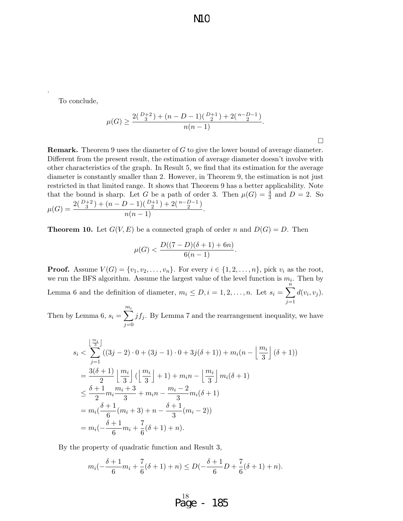To conclude,

.

$$
\mu(G) \ge \frac{2^{\binom{D+2}{3} + (n - D - 1)\binom{D+1}{2} + 2\binom{n - D - 1}{2}}}{n(n - 1)}.
$$

 $\Box$ 

Remark. Theorem 9 uses the diameter of G to give the lower bound of average diameter. Different from the present result, the estimation of average diameter doesn't involve with other characteristics of the graph. In Result 5, we find that its estimation for the average diameter is constantly smaller than 2. However, in Theorem 9, the estimation is not just restricted in that limited range. It shows that Theorem 9 has a better applicability. Note that the bound is sharp. Let G be a path of order 3. Then  $\mu(G) = \frac{4}{3}$  and  $D = 2$ . So  $\mu(G) = \frac{2^{\binom{D+2}{3} + (n - D - 1)\binom{D+1}{2} + 2\binom{n - D - 1}{2}}$  $\frac{1}{n(n-1)}$ .

**Theorem 10.** Let  $G(V, E)$  be a connected graph of order n and  $D(G) = D$ . Then

$$
\mu(G) < \frac{D((7-D)(\delta+1)+6n)}{6(n-1)}.
$$

**Proof.** Assume  $V(G) = \{v_1, v_2, \ldots, v_n\}$ . For every  $i \in \{1, 2, \ldots, n\}$ , pick  $v_i$  as the root, we run the BFS algorithm. Assume the largest value of the level function is  $m_i$ . Then by Lemma 6 and the definition of diameter,  $m_i \leq D, i = 1, 2, ..., n$ . Let  $s_i = \sum_{i=1}^{n}$  $j=1$  $d(v_i, v_j)$ .

Then by Lemma 6,  $s_i = \sum_{i=1}^{m_i}$  $j=0$  $jf_j$ . By Lemma 7 and the rearrangement inequality, we have

$$
s_i < \sum_{j=1}^{\lfloor \frac{m_i}{3} \rfloor} \left( (3j-2) \cdot 0 + (3j-1) \cdot 0 + 3j(\delta+1) \right) + m_i(n - \left\lfloor \frac{m_i}{3} \right\rfloor (\delta+1))
$$
\n
$$
= \frac{3(\delta+1)}{2} \left\lfloor \frac{m_i}{3} \right\rfloor \left( \left\lfloor \frac{m_i}{3} \right\rfloor + 1 \right) + m_i n - \left\lfloor \frac{m_i}{3} \right\rfloor m_i(\delta+1)
$$
\n
$$
\leq \frac{\delta+1}{2} m_i \frac{m_i+3}{3} + m_i n - \frac{m_i-2}{3} m_i(\delta+1)
$$
\n
$$
= m_i \left( \frac{\delta+1}{6} (m_i+3) + n - \frac{\delta+1}{3} (m_i-2) \right)
$$
\n
$$
= m_i \left( -\frac{\delta+1}{6} m_i + \frac{7}{6} (\delta+1) + n \right).
$$

By the property of quadratic function and Result 3,

$$
m_i(-\frac{\delta+1}{6}m_i+\frac{7}{6}(\delta+1)+n) \le D(-\frac{\delta+1}{6}D+\frac{7}{6}(\delta+1)+n).
$$

$$
\begin{array}{r}\n^{18} \\
\text{Page} - 185\n\end{array}
$$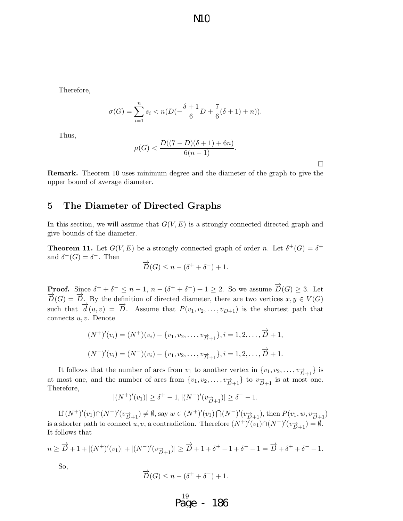N<sub>1</sub>C

Therefore,

$$
\sigma(G) = \sum_{i=1}^{n} s_i < n(D(-\frac{\delta+1}{6}D + \frac{7}{6}(\delta+1) + n)).
$$

Thus,

$$
\mu(G) < \frac{D((7-D)(\delta+1)+6n)}{6(n-1)}.
$$

 $\Box$ 

Remark. Theorem 10 uses minimum degree and the diameter of the graph to give the upper bound of average diameter.

## 5 The Diameter of Directed Graphs

In this section, we will assume that  $G(V, E)$  is a strongly connected directed graph and give bounds of the diameter.

**Theorem 11.** Let  $G(V, E)$  be a strongly connected graph of order n. Let  $\delta^+(G) = \delta^+$ and  $\delta^-(G) = \delta^-$ . Then

$$
\overrightarrow{D}(G) \leq n - (\delta^+ + \delta^-) + 1.
$$

**Proof.** Since  $\delta^+ + \delta^- \leq n-1$ ,  $n - (\delta^+ + \delta^-) + 1 \geq 2$ . So we assume  $\overrightarrow{D}(G) \geq 3$ . Let  $\overrightarrow{D}(G) = \overrightarrow{D}$ . By the definition of directed diameter, there are two vertices  $x, y \in V(G)$ such that  $\overrightarrow{d}(u, v) = \overrightarrow{D}$ . Assume that  $P(v_1, v_2, \ldots, v_{D+1})$  is the shortest path that connects  $u, v$ . Denote

$$
(N^+)'(v_i) = (N^+)(v_i) - \{v_1, v_2, \dots, v_{\overrightarrow{D}+1}\}, i = 1, 2, \dots, \overrightarrow{D} + 1,
$$
  

$$
(N^-)'(v_i) = (N^-)(v_i) - \{v_1, v_2, \dots, v_{\overrightarrow{D}+1}\}, i = 1, 2, \dots, \overrightarrow{D} + 1.
$$

It follows that the number of arcs from  $v_1$  to another vertex in  $\{v_1, v_2, \ldots, v_{\overrightarrow{D}+1}}\}$  is at most one, and the number of arcs from  $\{v_1, v_2, \ldots, v_{\overrightarrow{D}+1}\}$  to  $v_{\overrightarrow{D}+1}$  is at most one. Therefore,

$$
|(N^+)'(v_1)| \ge \delta^+ - 1, |(N^-)'(v_{\overrightarrow{D}+1})| \ge \delta^- - 1.
$$

If  $(N^+)'(v_1) \cap (N^-)'(v_{\overrightarrow{D}+1}) \neq \emptyset$ , say  $w \in (N^+)'(v_1) \cap (N^-)'(v_{\overrightarrow{D}+1})$ , then  $P(v_1, w, v_{\overrightarrow{D}+1})$ is a shorter path to connect  $u, v$ , a contradiction. Therefore  $(N^+)'(v_1) \cap (N^-)'(v_{\overrightarrow{D}+1}) = \emptyset$ . It follows that

$$
n \geq \overrightarrow{D} + 1 + |(N^+)'(v_1)| + |(N^-)'(v_{\overrightarrow{D}+1})| \geq \overrightarrow{D} + 1 + \delta^+ - 1 + \delta^- - 1 = \overrightarrow{D} + \delta^+ + \delta^- - 1.
$$

So,

$$
\overrightarrow{D}(G) \le n - (\delta^+ + \delta^-) + 1.
$$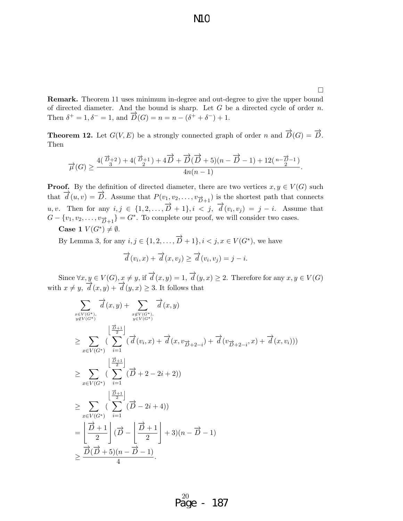$\Box$ 

Remark. Theorem 11 uses minimum in-degree and out-degree to give the upper bound of directed diameter. And the bound is sharp. Let  $G$  be a directed cycle of order  $n$ . Then  $\delta^+ = 1, \delta^- = 1$ , and  $\overrightarrow{D}(G) = n = n - (\delta^+ + \delta^-) + 1$ .

**Theorem 12.** Let  $G(V, E)$  be a strongly connected graph of order n and  $\overrightarrow{D}(G) = \overrightarrow{D}$ . Then

$$
\overrightarrow{\mu}(G)\geq \frac{4(\overrightarrow{D}_3^{+2})+4(\overrightarrow{D}_2^{+1})+4\overrightarrow{D}+\overrightarrow{D}(\overrightarrow{D}+5)(n-\overrightarrow{D}-1)+12\big(\,n-\overrightarrow{D}-1\,\big)}{4n(n-1)}.
$$

**Proof.** By the definition of directed diameter, there are two vertices  $x, y \in V(G)$  such that  $\overrightarrow{d}(u, v) = \overrightarrow{D}$ . Assume that  $P(v_1, v_2, \ldots, v_{\overrightarrow{D}+1})$  is the shortest path that connects u, v. Then for any  $i, j \in \{1, 2, ..., \overrightarrow{D} + 1\}, i < j$ ,  $\overrightarrow{d}(v_i, v_j) = j - i$ . Assume that  $G - \{v_1, v_2, \dots, v_{\overrightarrow{D}+1}\} = G^*$ . To complete our proof, we will consider two cases. Case 1  $V(G^*) \neq \emptyset$ .

By Lemma 3, for any  $i, j \in \{1, 2, \ldots, \overrightarrow{D} + 1\}, i < j, x \in V(G^*)$ , we have  $\overrightarrow{d}(v_i, x) + \overrightarrow{d}(x, v_j) \geq \overrightarrow{d}(v_i, v_j) = j - i.$ 

Since  $\forall x, y \in V(G), x \neq y$ , if  $\overrightarrow{d}(x, y) = 1$ ,  $\overrightarrow{d}(y, x) \geq 2$ . Therefore for any  $x, y \in V(G)$ with  $x \neq y$ ,  $\overrightarrow{d}(x,y) + \overrightarrow{d}(y,x) \geq 3$ . It follows that

$$
\sum_{\substack{x \in V(G^*), \\ y \notin V(G^*)}} \overrightarrow{d}(x,y) + \sum_{\substack{x \notin V(G^*), \\ y \in V(G^*)}} \overrightarrow{d}(x,y)
$$
\n
$$
\geq \sum_{x \in V(G^*)} \left( \sum_{i=1}^{\left[\frac{\vec{D}+1}{2}\right]} (\overrightarrow{d}(v_i,x) + \overrightarrow{d}(x,v_{\vec{D}+2-i}) + \overrightarrow{d}(v_{\vec{D}+2-i},x) + \overrightarrow{d}(x,v_i)))
$$
\n
$$
\geq \sum_{x \in V(G^*)} \left( \sum_{i=1}^{\left[\frac{\vec{D}+1}{2}\right]} (\overrightarrow{D}+2-2i+2) \right)
$$
\n
$$
\geq \sum_{x \in V(G^*)} \left( \sum_{i=1}^{\left[\frac{\vec{D}+1}{2}\right]} (\overrightarrow{D}-2i+4) \right)
$$
\n
$$
= \left( \frac{\overrightarrow{D}+1}{2} \right) (\overrightarrow{D} - \left( \frac{\overrightarrow{D}+1}{2} \right) + 3)(n - \overrightarrow{D} - 1)
$$
\n
$$
\geq \frac{\overrightarrow{D}(\overrightarrow{D}+5)(n - \overrightarrow{D} - 1)}{4}.
$$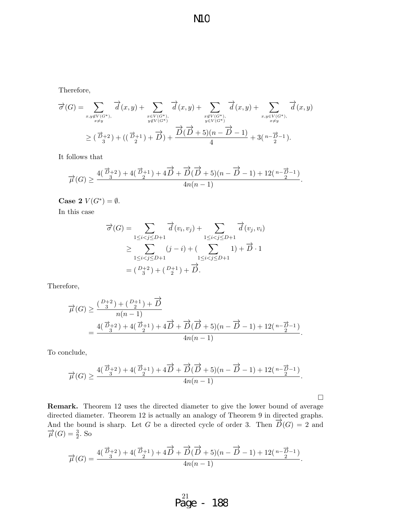N1<sub>C</sub>

Therefore,

$$
\overrightarrow{\sigma}(G) = \sum_{\substack{x,y \notin V(G^*), \\ x \neq y}} \overrightarrow{d}(x,y) + \sum_{\substack{x \in V(G^*), \\ y \notin V(G^*)}} \overrightarrow{d}(x,y) + \sum_{\substack{x \notin V(G^*), \\ y \in V(G^*)}} \overrightarrow{d}(x,y) + \sum_{\substack{x,y \in V(G^*), \\ x \neq y}} \overrightarrow{d}(x,y)
$$
  
\n
$$
\geq (\overrightarrow{D}_{3}+2) + ((\overrightarrow{D}_{2}+1) + \overrightarrow{D}) + \frac{\overrightarrow{D}(\overrightarrow{D}+5)(n-\overrightarrow{D}-1)}{4} + 3(n-\overrightarrow{D}-1).
$$

It follows that

$$
\overrightarrow{\mu}(G)\geq \frac{4(\overrightarrow{D}_3+2)+4(\overrightarrow{D}_2+1)+4\overrightarrow{D}+\overrightarrow{D}(\overrightarrow{D}+5)(n-\overrightarrow{D}-1)+12\binom{n-\overrightarrow{D}-1}{2}}{4n(n-1)}.
$$

Case 2  $V(G^*) = \emptyset$ .

In this case

$$
\overrightarrow{\sigma}(G) = \sum_{1 \le i < j \le D+1} \overrightarrow{d}(v_i, v_j) + \sum_{1 \le i < j \le D+1} \overrightarrow{d}(v_j, v_i)
$$
\n
$$
\ge \sum_{1 \le i < j \le D+1} (j - i) + (\sum_{1 \le i < j \le D+1} 1) + \overrightarrow{D} \cdot 1
$$
\n
$$
= (\frac{D+2}{3}) + (\frac{D+1}{2}) + \overrightarrow{D}.
$$

Therefore,

$$
\overrightarrow{\mu}(G) \ge \frac{\left(\frac{D+2}{3}\right) + \left(\frac{D+1}{2}\right) + \overrightarrow{D}}{n(n-1)} = \frac{4(\frac{\overrightarrow{D}+2}{3}) + 4(\frac{\overrightarrow{D}+1}{2}) + 4\overrightarrow{D} + \overrightarrow{D}(\overrightarrow{D}+5)(n-\overrightarrow{D}-1) + 12\left(\frac{n-\overrightarrow{D}-1}{2}\right)}{4n(n-1)}.
$$

To conclude,

$$
\overrightarrow{\mu}(G)\geq \frac{4(\overrightarrow{D}_3+2)+4(\overrightarrow{D}_2+1)+4\overrightarrow{D}+\overrightarrow{D}(\overrightarrow{D}+5)(n-\overrightarrow{D}-1)+12\binom{n-\overrightarrow{D}-1}{2}}{4n(n-1)}.
$$

 $\Box$ 

Remark. Theorem 12 uses the directed diameter to give the lower bound of average directed diameter. Theorem 12 is actually an analogy of Theorem 9 in directed graphs. And the bound is sharp. Let G be a directed cycle of order 3. Then  $\overrightarrow{D}(G) = 2$  and  $\overrightarrow{\mu}(G) = \frac{3}{2}$ . So

$$
\overrightarrow{\mu}(G)=\frac{4(\overrightarrow{D}_3^{+2})+4(\overrightarrow{D}_2^{+1})+4\overrightarrow{D}+\overrightarrow{D}(\overrightarrow{D}+5)(n-\overrightarrow{D}-1)+12\left(\frac{n-\overrightarrow{D}-1}{2}\right)}{4n(n-1)}.
$$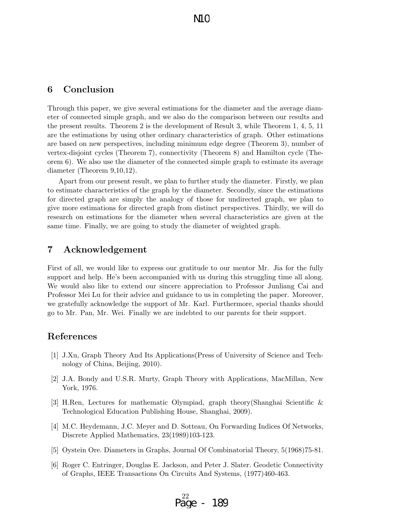## 6 Conclusion

Through this paper, we give several estimations for the diameter and the average diameter of connected simple graph, and we also do the comparison between our results and the present results. Theorem 2 is the development of Result 3, while Theorem 1, 4, 5, 11 are the estimations by using other ordinary characteristics of graph. Other estimations are based on new perspectives, including minimum edge degree (Theorem 3), number of vertex-disjoint cycles (Theorem 7), connectivity (Theorem 8) and Hamilton cycle (Theorem 6). We also use the diameter of the connected simple graph to estimate its average diameter (Theorem 9,10,12).

Apart from our present result, we plan to further study the diameter. Firstly, we plan to estimate characteristics of the graph by the diameter. Secondly, since the estimations for directed graph are simply the analogy of those for undirected graph, we plan to give more estimations for directed graph from distinct perspectives. Thirdly, we will do research on estimations for the diameter when several characteristics are given at the same time. Finally, we are going to study the diameter of weighted graph.

## 7 Acknowledgement

First of all, we would like to express our gratitude to our mentor Mr. Jia for the fully support and help. He's been accompanied with us during this struggling time all along. We would also like to extend our sincere appreciation to Professor Junliang Cai and Professor Mei Lu for their advice and guidance to us in completing the paper. Moreover, we gratefully acknowledge the support of Mr. Karl. Furthermore, special thanks should go to Mr. Pan, Mr. Wei. Finally we are indebted to our parents for their support.

## References

- [1] J.Xu, Graph Theory And Its Applications(Press of University of Science and Technology of China, Beijing, 2010).
- [2] J.A. Bondy and U.S.R. Murty, Graph Theory with Applications, MacMillan, New York, 1976.
- [3] H.Ren, Lectures for mathematic Olympiad, graph theory(Shanghai Scientific & Technological Education Publishing House, Shanghai, 2009).
- [4] M.C. Heydemann, J.C. Meyer and D. Sotteau, On Forwarding Indices Of Networks, Discrete Applied Mathematics, 23(1989)103-123.
- [5] Oystein Ore. Diameters in Graphs, Journal Of Combinatorial Theory, 5(1968)75-81.
- [6] Roger C. Entringer, Douglas E. Jackson, and Peter J. Slater. Geodetic Connectivity of Graphs, IEEE Transactions On Circuits And Systems, (1977)460-463.

$$
P_{\text{age}}^{22} - 189
$$